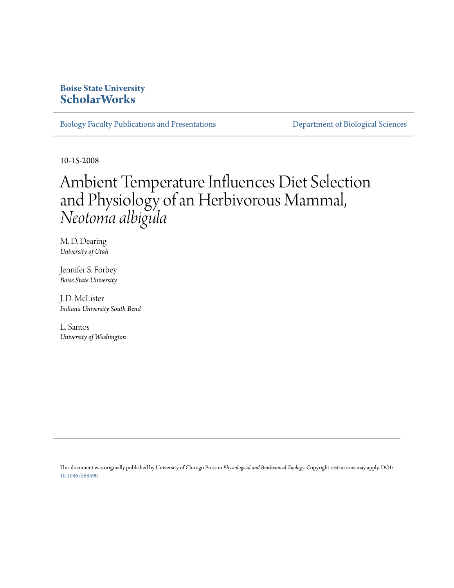### **Boise State University [ScholarWorks](https://scholarworks.boisestate.edu)**

[Biology Faculty Publications and Presentations](https://scholarworks.boisestate.edu/bio_facpubs) **[Department of Biological Sciences](https://scholarworks.boisestate.edu/biosciences)** 

10-15-2008

# Ambient Temperature Influences Diet Selection and Physiology of an Herbivorous Mammal, *Neotoma albigula*

M. D. Dearing *University of Utah*

Jennifer S. Forbey *Boise State University*

J. D. McLister *Indiana University South Bend*

L. Santos *University of Washington*

This document was originally published by University of Chicago Press in *Physiological and Biochemical Zoology.* Copyright restrictions may apply. DOI: [10.1086/588490](http://dx.doi.org/10.1086/588490)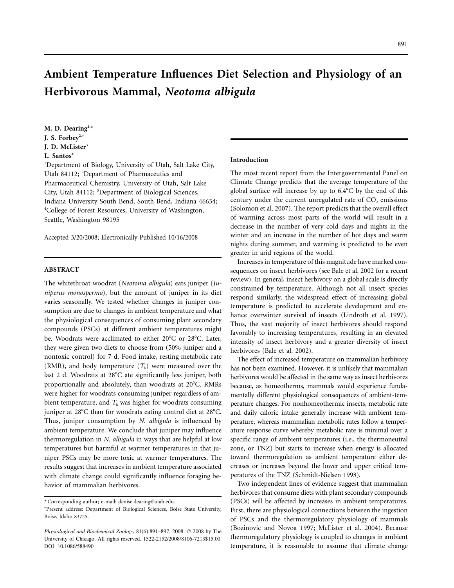## **Ambient Temperature Influences Diet Selection and Physiology of an Herbivorous Mammal,** *Neotoma albigula*

**M. D. Dearing1,**\* **J. S. Forbey2,† J. D. McLister3** L. Santos<sup>4</sup>

<sup>1</sup>Department of Biology, University of Utah, Salt Lake City, Utah 84112; <sup>2</sup>Department of Pharmaceutics and Pharmaceutical Chemistry, University of Utah, Salt Lake City, Utah 84112; <sup>3</sup>Department of Biological Sciences, Indiana University South Bend, South Bend, Indiana 46634; 4 College of Forest Resources, University of Washington, Seattle, Washington 98195

Accepted 3/20/2008; Electronically Published 10/16/2008

#### **ABSTRACT**

The whitethroat woodrat (*Neotoma albigula*) eats juniper (*Juniperus monosperma*), but the amount of juniper in its diet varies seasonally. We tested whether changes in juniper consumption are due to changes in ambient temperature and what the physiological consequences of consuming plant secondary compounds (PSCs) at different ambient temperatures might be. Woodrats were acclimated to either 20°C or 28°C. Later, they were given two diets to choose from (50% juniper and a nontoxic control) for 7 d. Food intake, resting metabolic rate (RMR), and body temperature  $(T<sub>b</sub>)$  were measured over the last 2 d. Woodrats at 28°C ate significantly less juniper, both proportionally and absolutely, than woodrats at 20°C. RMRs were higher for woodrats consuming juniper regardless of ambient temperature, and  $T<sub>b</sub>$  was higher for woodrats consuming juniper at 28°C than for woodrats eating control diet at 28°C. Thus, juniper consumption by *N. albigula* is influenced by ambient temperature. We conclude that juniper may influence thermoregulation in *N. albigula* in ways that are helpful at low temperatures but harmful at warmer temperatures in that juniper PSCs may be more toxic at warmer temperatures. The results suggest that increases in ambient temperature associated with climate change could significantly influence foraging behavior of mammalian herbivores.

#### **Introduction**

The most recent report from the Intergovernmental Panel on Climate Change predicts that the average temperature of the global surface will increase by up to 6.4°C by the end of this century under the current unregulated rate of  $CO$ , emissions (Solomon et al. 2007). The report predicts that the overall effect of warming across most parts of the world will result in a decrease in the number of very cold days and nights in the winter and an increase in the number of hot days and warm nights during summer, and warming is predicted to be even greater in arid regions of the world.

Increases in temperature of this magnitude have marked consequences on insect herbivores (see Bale et al. 2002 for a recent review). In general, insect herbivory on a global scale is directly constrained by temperature. Although not all insect species respond similarly, the widespread effect of increasing global temperature is predicted to accelerate development and enhance overwinter survival of insects (Lindroth et al. 1997). Thus, the vast majority of insect herbivores should respond favorably to increasing temperatures, resulting in an elevated intensity of insect herbivory and a greater diversity of insect herbivores (Bale et al. 2002).

The effect of increased temperature on mammalian herbivory has not been examined. However, it is unlikely that mammalian herbivores would be affected in the same way as insect herbivores because, as homeotherms, mammals would experience fundamentally different physiological consequences of ambient-temperature changes. For nonhomeothermic insects, metabolic rate and daily caloric intake generally increase with ambient temperature, whereas mammalian metabolic rates follow a temperature response curve whereby metabolic rate is minimal over a specific range of ambient temperatures (i.e., the thermoneutral zone, or TNZ) but starts to increase when energy is allocated toward thermoregulation as ambient temperature either decreases or increases beyond the lower and upper critical temperatures of the TNZ (Schmidt-Nielsen 1993).

Two independent lines of evidence suggest that mammalian herbivores that consume diets with plant secondary compounds (PSCs) will be affected by increases in ambient temperatures. First, there are physiological connections between the ingestion of PSCs and the thermoregulatory physiology of mammals (Bozinovic and Novoa 1997; McLister et al. 2004). Because thermoregulatory physiology is coupled to changes in ambient temperature, it is reasonable to assume that climate change

<sup>\*</sup> Corresponding author; e-mail: denise.dearing@utah.edu.

<sup>†</sup> Present address: Department of Biological Sciences, Boise State University, Boise, Idaho 83725.

*Physiological and Biochemical Zoology* 81(6):891-897. 2008.  $©$  2008 by The University of Chicago. All rights reserved. 1522-2152/2008/8106-7213\$15.00 DOI: 10.1086/588490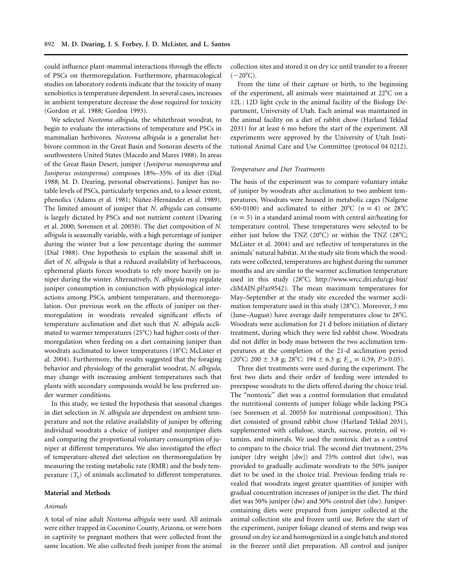could influence plant-mammal interactions through the effects of PSCs on thermoregulation. Furthermore, pharmacological studies on laboratory rodents indicate that the toxicity of many xenobiotics is temperature dependent. In several cases, increases in ambient temperature decrease the dose required for toxicity (Gordon et al. 1988; Gordon 1993).

We selected *Neotoma albigula*, the whitethroat woodrat, to begin to evaluate the interactions of temperature and PSCs in mammalian herbivores. *Neotoma albigula* is a generalist herbivore common in the Great Basin and Sonoran deserts of the southwestern United States (Macedo and Mares 1988). In areas of the Great Basin Desert, juniper (*Juniperus monosperma* and *Juniperus osteosperma*) composes 18%–35% of its diet (Dial 1988; M. D. Dearing, personal observations). Juniper has notable levels of PSCs, particularly terpenes and, to a lesser extent, phenolics (Adams et al. 1981; Núñez-Hernández et al. 1989). The limited amount of juniper that *N. albigula* can consume is largely dictated by PSCs and not nutrient content (Dearing et al. 2000; Sorensen et al. 2005*b*). The diet composition of *N. albigula* is seasonally variable, with a high percentage of juniper during the winter but a low percentage during the summer (Dial 1988). One hypothesis to explain the seasonal shift in diet of *N. albigula* is that a reduced availability of herbaceous, ephemeral plants forces woodrats to rely more heavily on juniper during the winter. Alternatively, *N. albigula* may regulate juniper consumption in conjunction with physiological interactions among PSCs, ambient temperature, and thermoregulation. Our previous work on the effects of juniper on thermoregulation in woodrats revealed significant effects of temperature acclimation and diet such that *N. albigula* acclimated to warmer temperatures (25 $^{\circ}$ C) had higher costs of thermoregulation when feeding on a diet containing juniper than woodrats acclimated to lower temperatures (18°C; McLister et al. 2004). Furthermore, the results suggested that the foraging behavior and physiology of the generalist woodrat, *N. albigula*, may change with increasing ambient temperatures such that plants with secondary compounds would be less preferred under warmer conditions.

In this study, we tested the hypothesis that seasonal changes in diet selection in *N. albigula* are dependent on ambient temperature and not the relative availability of juniper by offering individual woodrats a choice of juniper and nonjuniper diets and comparing the proportional voluntary consumption of juniper at different temperatures. We also investigated the effect of temperature-altered diet selection on thermoregulation by measuring the resting metabolic rate (RMR) and the body temperature  $(T<sub>b</sub>)$  of animals acclimated to different temperatures.

#### **Material and Methods**

#### *Animals*

A total of nine adult *Neotoma albigula* were used. All animals were either trapped in Coconino County, Arizona, or were born in captivity to pregnant mothers that were collected from the same location. We also collected fresh juniper from the animal

collection sites and stored it on dry ice until transfer to a freezer  $(-20^{\circ}C).$ 

From the time of their capture or birth, to the beginning of the experiment, all animals were maintained at 22°C on a 12L : 12D light cycle in the animal facility of the Biology Department, University of Utah. Each animal was maintained in the animal facility on a diet of rabbit chow (Harland Teklad 2031) for at least 6 mo before the start of the experiment. All experiments were approved by the University of Utah Institutional Animal Care and Use Committee (protocol 04 0212).

#### *Temperature and Diet Treatments*

The basis of the experiment was to compare voluntary intake of juniper by woodrats after acclimation to two ambient temperatures. Woodrats were housed in metabolic cages (Nalgene 650-0100) and acclimated to either  $20^{\circ}$ C ( $n = 4$ ) or  $28^{\circ}$ C  $(n = 5)$  in a standard animal room with central air/heating for temperature control. These temperatures were selected to be either just below the TNZ  $(20^{\circ}C)$  or within the TNZ  $(28^{\circ}C;$ McLister et al. 2004) and are reflective of temperatures in the animals' natural habitat. At the study site from which the woodrats were collected, temperatures are highest during the summer months and are similar to the warmer acclimation temperature used in this study (28°C; http://www.wrcc.dri.edu/cgi-bin/ cliMAIN.pl?az9542). The mean maximum temperatures for May–September at the study site exceeded the warmer acclimation temperature used in this study (28°C). Moreover, 3 mo (June–August) have average daily temperatures close to 28°C. Woodrats were acclimation for 21 d before initiation of dietary treatment, during which they were fed rabbit chow. Woodrats did not differ in body mass between the two acclimation temperatures at the completion of the 21-d acclimation period (20°C: 200  $\pm$  3.8 g; 28°C: 194  $\pm$  6.3 g;  $F_{1,8}$  = 0.59, *P* > 0.05).

Three diet treatments were used during the experiment. The first two diets and their order of feeding were intended to preexpose woodrats to the diets offered during the choice trial. The "nontoxic" diet was a control formulation that emulated the nutritional contents of juniper foliage while lacking PSCs (see Sorensen et al. 2005*b* for nutritional composition). This diet consisted of ground rabbit chow (Harland Teklad 2031), supplemented with cellulose, starch, sucrose, protein, oil vitamins, and minerals. We used the nontoxic diet as a control to compare to the choice trial. The second diet treatment, 25% juniper (dry weight [dw]) and 75% control diet (dw), was provided to gradually acclimate woodrats to the 50% juniper diet to be used in the choice trial. Previous feeding trials revealed that woodrats ingest greater quantities of juniper with gradual concentration increases of juniper in the diet. The third diet was 50% juniper (dw) and 50% control diet (dw). Junipercontaining diets were prepared from juniper collected at the animal collection site and frozen until use. Before the start of the experiment, juniper foliage cleaned of stems and twigs was ground on dry ice and homogenized in a single batch and stored in the freezer until diet preparation. All control and juniper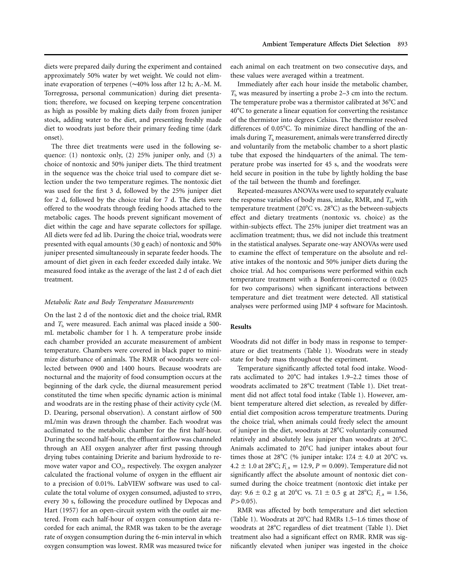diets were prepared daily during the experiment and contained approximately 50% water by wet weight. We could not eliminate evaporation of terpenes (∼40% loss after 12 h; A.-M. M. Torregrossa, personal communication) during diet presentation; therefore, we focused on keeping terpene concentration as high as possible by making diets daily from frozen juniper stock, adding water to the diet, and presenting freshly made diet to woodrats just before their primary feeding time (dark onset).

The three diet treatments were used in the following sequence: (1) nontoxic only, (2) 25% juniper only, and (3) a choice of nontoxic and 50% juniper diets. The third treatment in the sequence was the choice trial used to compare diet selection under the two temperature regimes. The nontoxic diet was used for the first 3 d, followed by the 25% juniper diet for 2 d, followed by the choice trial for 7 d. The diets were offered to the woodrats through feeding hoods attached to the metabolic cages. The hoods prevent significant movement of diet within the cage and have separate collectors for spillage. All diets were fed ad lib. During the choice trial, woodrats were presented with equal amounts (30 g each) of nontoxic and 50% juniper presented simultaneously in separate feeder hoods. The amount of diet given in each feeder exceeded daily intake. We measured food intake as the average of the last 2 d of each diet treatment.

#### *Metabolic Rate and Body Temperature Measurements*

On the last 2 d of the nontoxic diet and the choice trial, RMR and  $T<sub>b</sub>$  were measured. Each animal was placed inside a 500mL metabolic chamber for 1 h. A temperature probe inside each chamber provided an accurate measurement of ambient temperature. Chambers were covered in black paper to minimize disturbance of animals. The RMR of woodrats were collected between 0900 and 1400 hours. Because woodrats are nocturnal and the majority of food consumption occurs at the beginning of the dark cycle, the diurnal measurement period constituted the time when specific dynamic action is minimal and woodrats are in the resting phase of their activity cycle (M. D. Dearing, personal observation). A constant airflow of 500 mL/min was drawn through the chamber. Each woodrat was acclimated to the metabolic chamber for the first half-hour. During the second half-hour, the effluent airflow was channeled through an AEI oxygen analyzer after first passing through drying tubes containing Drierite and barium hydroxide to remove water vapor and  $CO<sub>2</sub>$ , respectively. The oxygen analyzer calculated the fractional volume of oxygen in the effluent air to a precision of 0.01%. LabVIEW software was used to calculate the total volume of oxygen consumed, adjusted to sTPD, every 30 s, following the procedure outlined by Depocas and Hart (1957) for an open-circuit system with the outlet air metered. From each half-hour of oxygen consumption data recorded for each animal, the RMR was taken to be the average rate of oxygen consumption during the 6-min interval in which oxygen consumption was lowest. RMR was measured twice for

each animal on each treatment on two consecutive days, and these values were averaged within a treatment.

Immediately after each hour inside the metabolic chamber,  $T<sub>b</sub>$  was measured by inserting a probe 2–3 cm into the rectum. The temperature probe was a thermistor calibrated at 36°C and 40°C to generate a linear equation for converting the resistance of the thermistor into degrees Celsius. The thermistor resolved differences of 0.05°C. To minimize direct handling of the animals during  $T<sub>b</sub>$  measurement, animals were transferred directly and voluntarily from the metabolic chamber to a short plastic tube that exposed the hindquarters of the animal. The temperature probe was inserted for 45 s, and the woodrats were held secure in position in the tube by lightly holding the base of the tail between the thumb and forefinger.

Repeated-measures ANOVAs were used to separately evaluate the response variables of body mass, intake, RMR, and  $T<sub>b</sub>$ , with temperature treatment (20°C vs. 28°C) as the between-subjects effect and dietary treatments (nontoxic vs. choice) as the within-subjects effect. The 25% juniper diet treatment was an acclimation treatment; thus, we did not include this treatment in the statistical analyses. Separate one-way ANOVAs were used to examine the effect of temperature on the absolute and relative intakes of the nontoxic and 50% juniper diets during the choice trial. Ad hoc comparisons were performed within each temperature treatment with a Bonferroni-corrected  $\alpha$  (0.025 for two comparisons) when significant interactions between temperature and diet treatment were detected. All statistical analyses were performed using JMP 4 software for Macintosh.

#### **Results**

Woodrats did not differ in body mass in response to temperature or diet treatments (Table 1). Woodrats were in steady state for body mass throughout the experiment.

Temperature significantly affected total food intake. Woodrats acclimated to 20°C had intakes 1.9–2.2 times those of woodrats acclimated to 28°C treatment (Table 1). Diet treatment did not affect total food intake (Table 1). However, ambient temperature altered diet selection, as revealed by differential diet composition across temperature treatments. During the choice trial, when animals could freely select the amount of juniper in the diet, woodrats at 28°C voluntarily consumed relatively and absolutely less juniper than woodrats at 20°C. Animals acclimated to 20°C had juniper intakes about four times those at 28°C (% juniper intake:  $17.4 \pm 4.0$  at 20°C vs.  $4.2 \pm 1.0$  at 28°C;  $F_{1, 8} = 12.9, P = 0.009$ ). Temperature did not significantly affect the absolute amount of nontoxic diet consumed during the choice treatment (nontoxic diet intake per day:  $9.6 \pm 0.2$  g at  $20^{\circ}$ C vs.  $7.1 \pm 0.5$  g at  $28^{\circ}$ C;  $F_{1, 8} = 1.56$ ,  $P > 0.05$ ).

RMR was affected by both temperature and diet selection (Table 1). Woodrats at 20°C had RMRs 1.5-1.6 times those of woodrats at 28°C regardless of diet treatment (Table 1). Diet treatment also had a significant effect on RMR. RMR was significantly elevated when juniper was ingested in the choice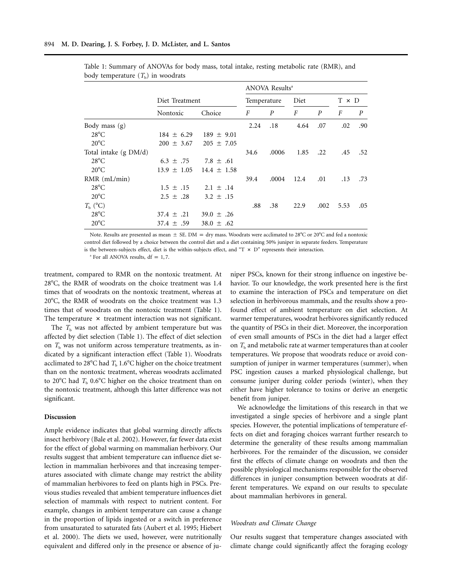|                       |                 |                 | ANOVA Results <sup>a</sup> |       |      |                  |              |                  |
|-----------------------|-----------------|-----------------|----------------------------|-------|------|------------------|--------------|------------------|
|                       | Diet Treatment  |                 | Temperature                |       | Diet |                  | $T \times D$ |                  |
|                       | Nontoxic        | Choice          | F                          | P     | F    | $\boldsymbol{P}$ | F            | $\boldsymbol{P}$ |
| Body mass $(g)$       |                 |                 | 2.24                       | .18   | 4.64 | .07              | .02          | .90              |
| $28^{\circ}$ C        | $184 \pm 6.29$  | $189 \pm 9.01$  |                            |       |      |                  |              |                  |
| $20^{\circ}$ C        | $200 \pm 3.67$  | $205 \pm 7.05$  |                            |       |      |                  |              |                  |
| Total intake (g DM/d) |                 |                 | 34.6                       | .0006 | 1.85 | .22              | .45          | .52              |
| $28^{\circ}$ C        | $6.3 \pm .75$   | 7.8 $\pm$ .61   |                            |       |      |                  |              |                  |
| $20^{\circ}$ C        | $13.9 \pm 1.05$ | $14.4 \pm 1.58$ |                            |       |      |                  |              |                  |
| $RMR$ (mL/min)        |                 |                 | 39.4                       | .0004 | 12.4 | .01              | .13          | .73              |
| $28^{\circ}$ C        | $1.5 \pm .15$   | $2.1 \pm .14$   |                            |       |      |                  |              |                  |
| $20^{\circ}$ C        | $2.5 \pm .28$   | $3.2 \pm .15$   |                            |       |      |                  |              |                  |
| $T_{\rm h}$ (°C)      |                 |                 | .88                        | .38   | 22.9 | .002             | 5.53         | .05              |
| $28^{\circ}$ C        | $37.4 \pm .21$  | $39.0 \pm .26$  |                            |       |      |                  |              |                  |
| $20^{\circ}$ C        | $37.4 \pm .59$  | 38.0 $\pm$ .62  |                            |       |      |                  |              |                  |

Table 1: Summary of ANOVAs for body mass, total intake, resting metabolic rate (RMR), and body temperature  $(T<sub>b</sub>)$  in woodrats

Note. Results are presented as mean  $\pm$  SE. DM  $=$  dry mass. Woodrats were acclimated to 28°C or 20°C and fed a nontoxic control diet followed by a choice between the control diet and a diet containing 50% juniper in separate feeders. Temperature is the between-subjects effect, diet is the within-subjects effect, and "T  $\times$  D" represents their interaction.

<sup>a</sup> For all ANOVA results,  $df = 1, 7$ .

treatment, compared to RMR on the nontoxic treatment. At 28°C, the RMR of woodrats on the choice treatment was 1.4 times that of woodrats on the nontoxic treatment, whereas at 20°C, the RMR of woodrats on the choice treatment was 1.3 times that of woodrats on the nontoxic treatment (Table 1). The temperature  $\times$  treatment interaction was not significant.

The  $T<sub>b</sub>$  was not affected by ambient temperature but was affected by diet selection (Table 1). The effect of diet selection on  $T<sub>b</sub>$  was not uniform across temperature treatments, as indicated by a significant interaction effect (Table 1). Woodrats acclimated to 28°C had  $T<sub>b</sub>$  1.6°C higher on the choice treatment than on the nontoxic treatment, whereas woodrats acclimated to 20 $^{\circ}$ C had  $T_{\rm b}$  0.6 $^{\circ}$ C higher on the choice treatment than on the nontoxic treatment, although this latter difference was not significant.

#### **Discussion**

Ample evidence indicates that global warming directly affects insect herbivory (Bale et al. 2002). However, far fewer data exist for the effect of global warming on mammalian herbivory. Our results suggest that ambient temperature can influence diet selection in mammalian herbivores and that increasing temperatures associated with climate change may restrict the ability of mammalian herbivores to feed on plants high in PSCs. Previous studies revealed that ambient temperature influences diet selection of mammals with respect to nutrient content. For example, changes in ambient temperature can cause a change in the proportion of lipids ingested or a switch in preference from unsaturated to saturated fats (Aubert et al. 1995; Hiebert et al. 2000). The diets we used, however, were nutritionally equivalent and differed only in the presence or absence of juniper PSCs, known for their strong influence on ingestive behavior. To our knowledge, the work presented here is the first to examine the interaction of PSCs and temperature on diet selection in herbivorous mammals, and the results show a profound effect of ambient temperature on diet selection. At warmer temperatures, woodrat herbivores significantly reduced the quantity of PSCs in their diet. Moreover, the incorporation of even small amounts of PSCs in the diet had a larger effect on  $T<sub>b</sub>$  and metabolic rate at warmer temperatures than at cooler temperatures. We propose that woodrats reduce or avoid consumption of juniper in warmer temperatures (summer), when PSC ingestion causes a marked physiological challenge, but consume juniper during colder periods (winter), when they either have higher tolerance to toxins or derive an energetic benefit from juniper.

We acknowledge the limitations of this research in that we investigated a single species of herbivore and a single plant species. However, the potential implications of temperature effects on diet and foraging choices warrant further research to determine the generality of these results among mammalian herbivores. For the remainder of the discussion, we consider first the effects of climate change on woodrats and then the possible physiological mechanisms responsible for the observed differences in juniper consumption between woodrats at different temperatures. We expand on our results to speculate about mammalian herbivores in general.

#### *Woodrats and Climate Change*

Our results suggest that temperature changes associated with climate change could significantly affect the foraging ecology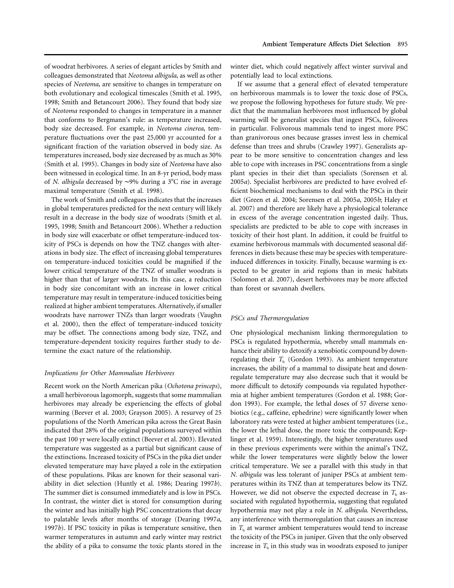of woodrat herbivores. A series of elegant articles by Smith and colleagues demonstrated that *Neotoma albigula*, as well as other species of *Neotoma*, are sensitive to changes in temperature on both evolutionary and ecological timescales (Smith et al. 1995, 1998; Smith and Betancourt 2006). They found that body size of *Neotoma* responded to changes in temperature in a manner that conforms to Bergmann's rule: as temperature increased, body size decreased. For example, in *Neotoma cinerea*, temperature fluctuations over the past 25,000 yr accounted for a significant fraction of the variation observed in body size. As temperatures increased, body size decreased by as much as 30% (Smith et al. 1995). Changes in body size of *Neotoma* have also been witnessed in ecological time. In an 8-yr period, body mass of *N. albigula* decreased by ~9% during a 3°C rise in average maximal temperature (Smith et al. 1998).

The work of Smith and colleagues indicates that the increases in global temperatures predicted for the next century will likely result in a decrease in the body size of woodrats (Smith et al. 1995, 1998; Smith and Betancourt 2006). Whether a reduction in body size will exacerbate or offset temperature-induced toxicity of PSCs is depends on how the TNZ changes with alterations in body size. The effect of increasing global temperatures on temperature-induced toxicities could be magnified if the lower critical temperature of the TNZ of smaller woodrats is higher than that of larger woodrats. In this case, a reduction in body size concomitant with an increase in lower critical temperature may result in temperature-induced toxicities being realized at higher ambient temperatures. Alternatively, if smaller woodrats have narrower TNZs than larger woodrats (Vaughn et al. 2000), then the effect of temperature-induced toxicity may be offset. The connections among body size, TNZ, and temperature-dependent toxicity requires further study to determine the exact nature of the relationship.

#### *Implications for Other Mammalian Herbivores*

Recent work on the North American pika (*Ochotona princeps*), a small herbivorous lagomorph, suggests that some mammalian herbivores may already be experiencing the effects of global warming (Beever et al. 2003; Grayson 2005). A resurvey of 25 populations of the North American pika across the Great Basin indicated that 28% of the original populations surveyed within the past 100 yr were locally extinct (Beever et al. 2003). Elevated temperature was suggested as a partial but significant cause of the extinctions. Increased toxicity of PSCs in the pika diet under elevated temperature may have played a role in the extirpation of these populations. Pikas are known for their seasonal variability in diet selection (Huntly et al. 1986; Dearing 1997*b*). The summer diet is consumed immediately and is low in PSCs. In contrast, the winter diet is stored for consumption during the winter and has initially high PSC concentrations that decay to palatable levels after months of storage (Dearing 1997*a*, 1997*b*). If PSC toxicity in pikas is temperature sensitive, then warmer temperatures in autumn and early winter may restrict the ability of a pika to consume the toxic plants stored in the

winter diet, which could negatively affect winter survival and potentially lead to local extinctions.

If we assume that a general effect of elevated temperature on herbivorous mammals is to lower the toxic dose of PSCs, we propose the following hypotheses for future study. We predict that the mammalian herbivores most influenced by global warming will be generalist species that ingest PSCs, folivores in particular. Folivorous mammals tend to ingest more PSC than granivorous ones because grasses invest less in chemical defense than trees and shrubs (Crawley 1997). Generalists appear to be more sensitive to concentration changes and less able to cope with increases in PSC concentrations from a single plant species in their diet than specialists (Sorensen et al. 2005*a*). Specialist herbivores are predicted to have evolved efficient biochemical mechanisms to deal with the PSCs in their diet (Green et al. 2004; Sorensen et al. 2005*a*, 2005*b*; Haley et al. 2007) and therefore are likely have a physiological tolerance in excess of the average concentration ingested daily. Thus, specialists are predicted to be able to cope with increases in toxicity of their host plant. In addition, it could be fruitful to examine herbivorous mammals with documented seasonal differences in diets because these may be species with temperatureinduced differences in toxicity. Finally, because warming is expected to be greater in arid regions than in mesic habitats (Solomon et al. 2007), desert herbivores may be more affected than forest or savannah dwellers.

#### *PSCs and Thermoregulation*

One physiological mechanism linking thermoregulation to PSCs is regulated hypothermia, whereby small mammals enhance their ability to detoxify a xenobiotic compound by downregulating their  $T<sub>b</sub>$  (Gordon 1993). As ambient temperature increases, the ability of a mammal to dissipate heat and downregulate temperature may also decrease such that it would be more difficult to detoxify compounds via regulated hypothermia at higher ambient temperatures (Gordon et al. 1988; Gordon 1993). For example, the lethal doses of 57 diverse xenobiotics (e.g., caffeine, ephedrine) were significantly lower when laboratory rats were tested at higher ambient temperatures (i.e., the lower the lethal dose, the more toxic the compound; Keplinger et al. 1959). Interestingly, the higher temperatures used in these previous experiments were within the animal's TNZ, while the lower temperatures were slightly below the lower critical temperature. We see a parallel with this study in that *N. albigula* was less tolerant of juniper PSCs at ambient temperatures within its TNZ than at temperatures below its TNZ. However, we did not observe the expected decrease in  $T<sub>b</sub>$  associated with regulated hypothermia, suggesting that regulated hypothermia may not play a role in *N. albigula*. Nevertheless, any interference with thermoregulation that causes an increase in  $T<sub>b</sub>$  at warmer ambient temperatures would tend to increase the toxicity of the PSCs in juniper. Given that the only observed increase in  $T<sub>b</sub>$  in this study was in woodrats exposed to juniper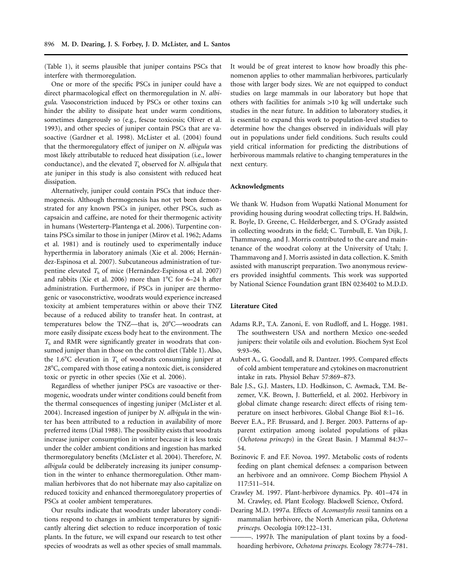(Table 1), it seems plausible that juniper contains PSCs that interfere with thermoregulation.

One or more of the specific PSCs in juniper could have a direct pharmacological effect on thermoregulation in *N. albigula*. Vasoconstriction induced by PSCs or other toxins can hinder the ability to dissipate heat under warm conditions, sometimes dangerously so (e.g., fescue toxicosis; Oliver et al. 1993), and other species of juniper contain PSCs that are vasoactive (Gardner et al. 1998). McLister et al. (2004) found that the thermoregulatory effect of juniper on *N. albigula* was most likely attributable to reduced heat dissipation (i.e., lower conductance), and the elevated  $T<sub>b</sub>$  observed for *N. albigula* that ate juniper in this study is also consistent with reduced heat dissipation.

Alternatively, juniper could contain PSCs that induce thermogenesis. Although thermogenesis has not yet been demonstrated for any known PSCs in juniper, other PSCs, such as capsaicin and caffeine, are noted for their thermogenic activity in humans (Westerterp-Plantenga et al. 2006). Turpentine contains PSCs similar to those in juniper (Mirov et al. 1962; Adams et al. 1981) and is routinely used to experimentally induce hyperthermia in laboratory animals (Xie et al. 2006; Hernández-Espinosa et al. 2007). Subcutaneous administration of turpentine elevated *T*<sub>b</sub> of mice (Hernández-Espinosa et al. 2007) and rabbits (Xie et al. 2006) more than  $1^{\circ}$ C for 6–24 h after administration. Furthermore, if PSCs in juniper are thermogenic or vasoconstrictive, woodrats would experience increased toxicity at ambient temperatures within or above their TNZ because of a reduced ability to transfer heat. In contrast, at temperatures below the TNZ—that is, 20°C—woodrats can more easily dissipate excess body heat to the environment. The *T*<sup>b</sup> and RMR were significantly greater in woodrats that consumed juniper than in those on the control diet (Table 1). Also, the 1.6 $\rm ^{o}C$  elevation in  $T_{\rm b}$  of woodrats consuming juniper at 28°C, compared with those eating a nontoxic diet, is considered toxic or pyretic in other species (Xie et al. 2006).

Regardless of whether juniper PSCs are vasoactive or thermogenic, woodrats under winter conditions could benefit from the thermal consequences of ingesting juniper (McLister et al. 2004). Increased ingestion of juniper by *N. albigula* in the winter has been attributed to a reduction in availability of more preferred items (Dial 1988). The possibility exists that woodrats increase juniper consumption in winter because it is less toxic under the colder ambient conditions and ingestion has marked thermoregulatory benefits (McLister et al. 2004). Therefore, *N. albigula* could be deliberately increasing its juniper consumption in the winter to enhance thermoregulation. Other mammalian herbivores that do not hibernate may also capitalize on reduced toxicity and enhanced thermoregulatory properties of PSCs at cooler ambient temperatures.

Our results indicate that woodrats under laboratory conditions respond to changes in ambient temperatures by significantly altering diet selection to reduce incorporation of toxic plants. In the future, we will expand our research to test other species of woodrats as well as other species of small mammals.

It would be of great interest to know how broadly this phenomenon applies to other mammalian herbivores, particularly those with larger body sizes. We are not equipped to conduct studies on large mammals in our laboratory but hope that others with facilities for animals >10 kg will undertake such studies in the near future. In addition to laboratory studies, it is essential to expand this work to population-level studies to determine how the changes observed in individuals will play out in populations under field conditions. Such results could yield critical information for predicting the distributions of herbivorous mammals relative to changing temperatures in the next century.

#### **Acknowledgments**

We thank W. Hudson from Wupatki National Monument for providing housing during woodrat collecting trips. H. Baldwin, R. Boyle, D. Greene, C. Heilderberger, and S. O'Grady assisted in collecting woodrats in the field; C. Turnbull, E. Van Dijk, J. Thammavong, and J. Morris contributed to the care and maintenance of the woodrat colony at the University of Utah; J. Thammavong and J. Morris assisted in data collection. K. Smith assisted with manuscript preparation. Two anonymous reviewers provided insightful comments. This work was supported by National Science Foundation grant IBN 0236402 to M.D.D.

#### **Literature Cited**

- Adams R.P., T.A. Zanoni, E. von Rudloff, and L. Hogge. 1981. The southwestern USA and northern Mexico one-seeded junipers: their volatile oils and evolution. Biochem Syst Ecol 9:93–96.
- Aubert A., G. Goodall, and R. Dantzer. 1995. Compared effects of cold ambient temperature and cytokines on macronutrient intake in rats. Physiol Behav 57:869–873.
- Bale J.S., G.J. Masters, I.D. Hodkinson, C. Awmack, T.M. Bezemer, V.K. Brown, J. Butterfield, et al. 2002. Herbivory in global climate change research: direct effects of rising temperature on insect herbivores. Global Change Biol 8:1–16.
- Beever E.A., P.F. Brussard, and J. Berger. 2003. Patterns of apparent extirpation among isolated populations of pikas (*Ochotona princeps*) in the Great Basin. J Mammal 84:37– 54.
- Bozinovic F. and F.F. Novoa. 1997. Metabolic costs of rodents feeding on plant chemical defenses: a comparison between an herbivore and an omnivore. Comp Biochem Physiol A 117:511–514.
- Crawley M. 1997. Plant-herbivore dynamics. Pp. 401–474 in M. Crawley, ed. Plant Ecology. Blackwell Science, Oxford.
- Dearing M.D. 1997*a*. Effects of *Acomastylis rossii* tannins on a mammalian herbivore, the North American pika, *Ochotona princeps*. Oecologia 109:122–131.
- ———. 1997*b*. The manipulation of plant toxins by a foodhoarding herbivore, *Ochotona princeps*. Ecology 78:774–781.